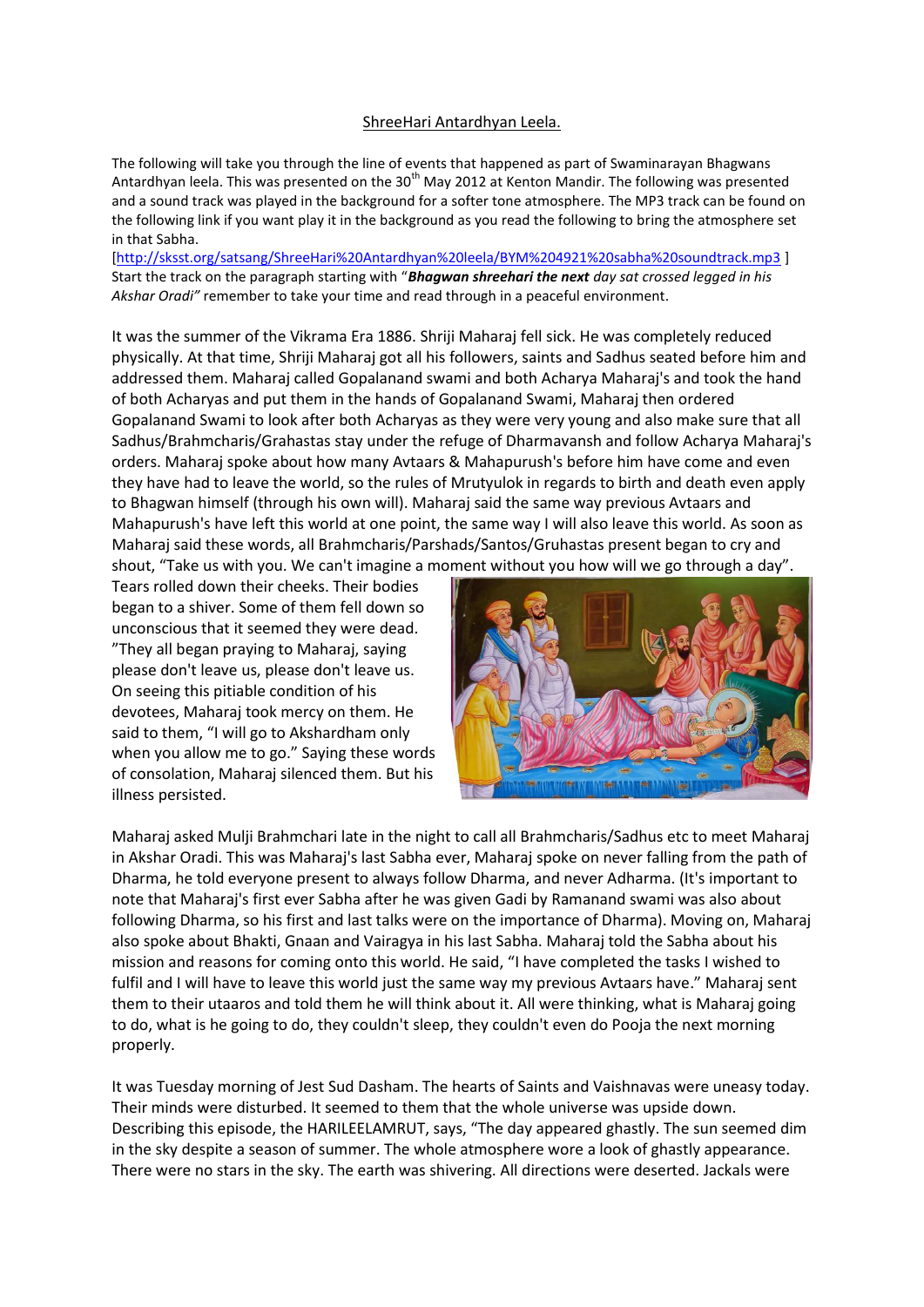## ShreeHari Antardhyan Leela.

The following will take you through the line of events that happened as part of Swaminarayan Bhagwans Antardhyan leela. This was presented on the 30<sup>th</sup> May 2012 at Kenton Mandir. The following was presented and a sound track was played in the background for a softer tone atmosphere. The MP3 track can be found on the following link if you want play it in the background as you read the following to bring the atmosphere set in that Sabha.

[\[http://sksst.org/satsang/ShreeHari%20Antardhyan%20leela/BYM%204921%20sabha%20soundtrack.mp3](http://sksst.org/satsang/ShreeHari%20Antardhyan%20leela/BYM%204921%20sabha%20soundtrack.mp3) ] Start the track on the paragraph starting with "*Bhagwan shreehari the next day sat crossed legged in his Akshar Oradi"* remember to take your time and read through in a peaceful environment.

It was the summer of the Vikrama Era 1886. Shriji Maharaj fell sick. He was completely reduced physically. At that time, Shriji Maharaj got all his followers, saints and Sadhus seated before him and addressed them. Maharaj called Gopalanand swami and both Acharya Maharaj's and took the hand of both Acharyas and put them in the hands of Gopalanand Swami, Maharaj then ordered Gopalanand Swami to look after both Acharyas as they were very young and also make sure that all Sadhus/Brahmcharis/Grahastas stay under the refuge of Dharmavansh and follow Acharya Maharaj's orders. Maharaj spoke about how many Avtaars & Mahapurush's before him have come and even they have had to leave the world, so the rules of Mrutyulok in regards to birth and death even apply to Bhagwan himself (through his own will). Maharaj said the same way previous Avtaars and Mahapurush's have left this world at one point, the same way I will also leave this world. As soon as Maharaj said these words, all Brahmcharis/Parshads/Santos/Gruhastas present began to cry and shout, "Take us with you. We can't imagine a moment without you how will we go through a day".

Tears rolled down their cheeks. Their bodies began to a shiver. Some of them fell down so unconscious that it seemed they were dead. "They all began praying to Maharaj, saying please don't leave us, please don't leave us. On seeing this pitiable condition of his devotees, Maharaj took mercy on them. He said to them, "I will go to Akshardham only when you allow me to go." Saying these words of consolation, Maharaj silenced them. But his illness persisted.



Maharaj asked Mulji Brahmchari late in the night to call all Brahmcharis/Sadhus etc to meet Maharaj in Akshar Oradi. This was Maharaj's last Sabha ever, Maharaj spoke on never falling from the path of Dharma, he told everyone present to always follow Dharma, and never Adharma. (It's important to note that Maharaj's first ever Sabha after he was given Gadi by Ramanand swami was also about following Dharma, so his first and last talks were on the importance of Dharma). Moving on, Maharaj also spoke about Bhakti, Gnaan and Vairagya in his last Sabha. Maharaj told the Sabha about his mission and reasons for coming onto this world. He said, "I have completed the tasks I wished to fulfil and I will have to leave this world just the same way my previous Avtaars have." Maharaj sent them to their utaaros and told them he will think about it. All were thinking, what is Maharaj going to do, what is he going to do, they couldn't sleep, they couldn't even do Pooja the next morning properly.

It was Tuesday morning of Jest Sud Dasham. The hearts of Saints and Vaishnavas were uneasy today. Their minds were disturbed. It seemed to them that the whole universe was upside down. Describing this episode, the HARILEELAMRUT, says, "The day appeared ghastly. The sun seemed dim in the sky despite a season of summer. The whole atmosphere wore a look of ghastly appearance. There were no stars in the sky. The earth was shivering. All directions were deserted. Jackals were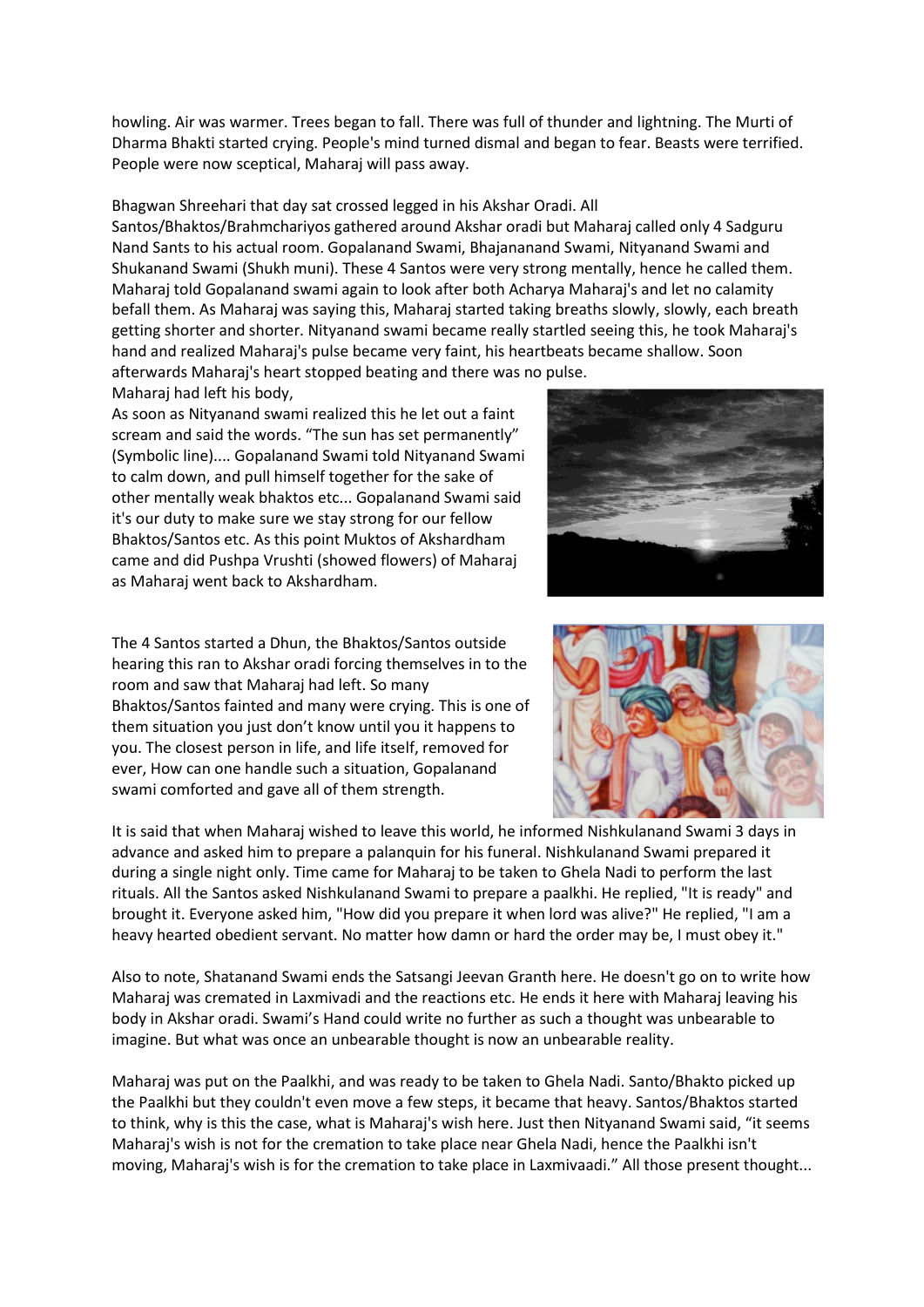howling. Air was warmer. Trees began to fall. There was full of thunder and lightning. The Murti of Dharma Bhakti started crying. People's mind turned dismal and began to fear. Beasts were terrified. People were now sceptical, Maharaj will pass away.

Bhagwan Shreehari that day sat crossed legged in his Akshar Oradi. All Santos/Bhaktos/Brahmchariyos gathered around Akshar oradi but Maharaj called only 4 Sadguru Nand Sants to his actual room. Gopalanand Swami, Bhajananand Swami, Nityanand Swami and Shukanand Swami (Shukh muni). These 4 Santos were very strong mentally, hence he called them. Maharaj told Gopalanand swami again to look after both Acharya Maharaj's and let no calamity befall them. As Maharaj was saying this, Maharaj started taking breaths slowly, slowly, each breath getting shorter and shorter. Nityanand swami became really startled seeing this, he took Maharaj's hand and realized Maharaj's pulse became very faint, his heartbeats became shallow. Soon afterwards Maharaj's heart stopped beating and there was no pulse.

Maharaj had left his body,

As soon as Nityanand swami realized this he let out a faint scream and said the words. "The sun has set permanently" (Symbolic line).... Gopalanand Swami told Nityanand Swami to calm down, and pull himself together for the sake of other mentally weak bhaktos etc... Gopalanand Swami said it's our duty to make sure we stay strong for our fellow Bhaktos/Santos etc. As this point Muktos of Akshardham came and did Pushpa Vrushti (showed flowers) of Maharaj as Maharaj went back to Akshardham.

The 4 Santos started a Dhun, the Bhaktos/Santos outside hearing this ran to Akshar oradi forcing themselves in to the room and saw that Maharaj had left. So many Bhaktos/Santos fainted and many were crying. This is one of them situation you just don't know until you it happens to you. The closest person in life, and life itself, removed for ever, How can one handle such a situation, Gopalanand swami comforted and gave all of them strength.

It is said that when Maharaj wished to leave this world, he informed Nishkulanand Swami 3 days in advance and asked him to prepare a palanquin for his funeral. Nishkulanand Swami prepared it during a single night only. Time came for Maharaj to be taken to Ghela Nadi to perform the last rituals. All the Santos asked Nishkulanand Swami to prepare a paalkhi. He replied, "It is ready" and brought it. Everyone asked him, "How did you prepare it when lord was alive?" He replied, "I am a heavy hearted obedient servant. No matter how damn or hard the order may be, I must obey it."

Also to note, Shatanand Swami ends the Satsangi Jeevan Granth here. He doesn't go on to write how Maharaj was cremated in Laxmivadi and the reactions etc. He ends it here with Maharaj leaving his body in Akshar oradi. Swami's Hand could write no further as such a thought was unbearable to imagine. But what was once an unbearable thought is now an unbearable reality.

Maharaj was put on the Paalkhi, and was ready to be taken to Ghela Nadi. Santo/Bhakto picked up the Paalkhi but they couldn't even move a few steps, it became that heavy. Santos/Bhaktos started to think, why is this the case, what is Maharaj's wish here. Just then Nityanand Swami said, "it seems Maharaj's wish is not for the cremation to take place near Ghela Nadi, hence the Paalkhi isn't moving, Maharaj's wish is for the cremation to take place in Laxmivaadi." All those present thought...



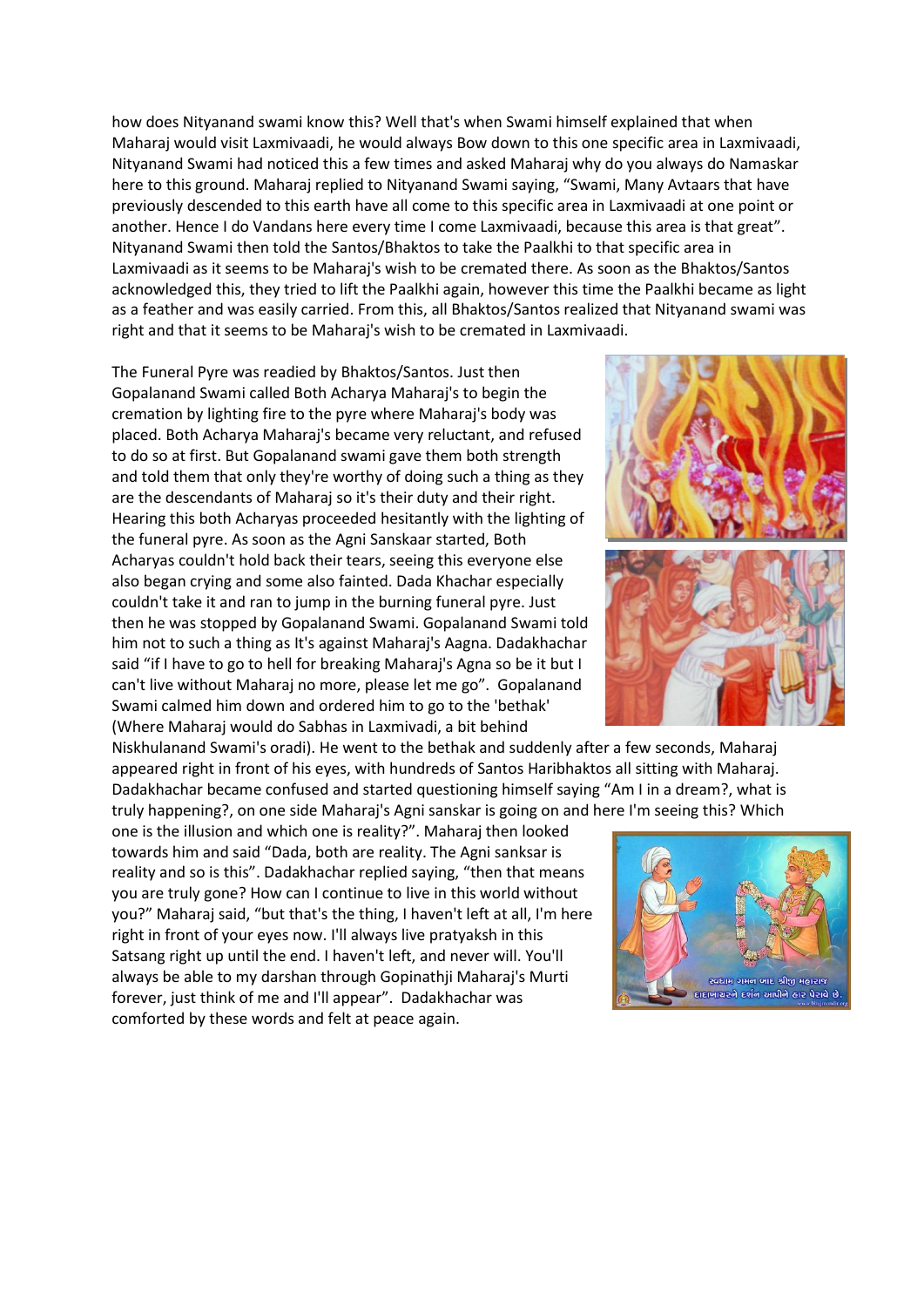how does Nityanand swami know this? Well that's when Swami himself explained that when Maharaj would visit Laxmivaadi, he would always Bow down to this one specific area in Laxmivaadi, Nityanand Swami had noticed this a few times and asked Maharaj why do you always do Namaskar here to this ground. Maharaj replied to Nityanand Swami saying, "Swami, Many Avtaars that have previously descended to this earth have all come to this specific area in Laxmivaadi at one point or another. Hence I do Vandans here every time I come Laxmivaadi, because this area is that great". Nityanand Swami then told the Santos/Bhaktos to take the Paalkhi to that specific area in Laxmivaadi as it seems to be Maharaj's wish to be cremated there. As soon as the Bhaktos/Santos acknowledged this, they tried to lift the Paalkhi again, however this time the Paalkhi became as light as a feather and was easily carried. From this, all Bhaktos/Santos realized that Nityanand swami was right and that it seems to be Maharaj's wish to be cremated in Laxmivaadi.

The Funeral Pyre was readied by Bhaktos/Santos. Just then Gopalanand Swami called Both Acharya Maharaj's to begin the cremation by lighting fire to the pyre where Maharaj's body was placed. Both Acharya Maharaj's became very reluctant, and refused to do so at first. But Gopalanand swami gave them both strength and told them that only they're worthy of doing such a thing as they are the descendants of Maharaj so it's their duty and their right. Hearing this both Acharyas proceeded hesitantly with the lighting of the funeral pyre. As soon as the Agni Sanskaar started, Both Acharyas couldn't hold back their tears, seeing this everyone else also began crying and some also fainted. Dada Khachar especially couldn't take it and ran to jump in the burning funeral pyre. Just then he was stopped by Gopalanand Swami. Gopalanand Swami told him not to such a thing as It's against Maharaj's Aagna. Dadakhachar said "if I have to go to hell for breaking Maharaj's Agna so be it but I can't live without Maharaj no more, please let me go". Gopalanand Swami calmed him down and ordered him to go to the 'bethak' (Where Maharaj would do Sabhas in Laxmivadi, a bit behind

Niskhulanand Swami's oradi). He went to the bethak and suddenly after a few seconds, Maharaj appeared right in front of his eyes, with hundreds of Santos Haribhaktos all sitting with Maharaj. Dadakhachar became confused and started questioning himself saying "Am I in a dream?, what is truly happening?, on one side Maharaj's Agni sanskar is going on and here I'm seeing this? Which

one is the illusion and which one is reality?". Maharaj then looked towards him and said "Dada, both are reality. The Agni sanksar is reality and so is this". Dadakhachar replied saying, "then that means you are truly gone? How can I continue to live in this world without you?" Maharaj said, "but that's the thing, I haven't left at all, I'm here right in front of your eyes now. I'll always live pratyaksh in this Satsang right up until the end. I haven't left, and never will. You'll always be able to my darshan through Gopinathji Maharaj's Murti forever, just think of me and I'll appear". Dadakhachar was comforted by these words and felt at peace again.



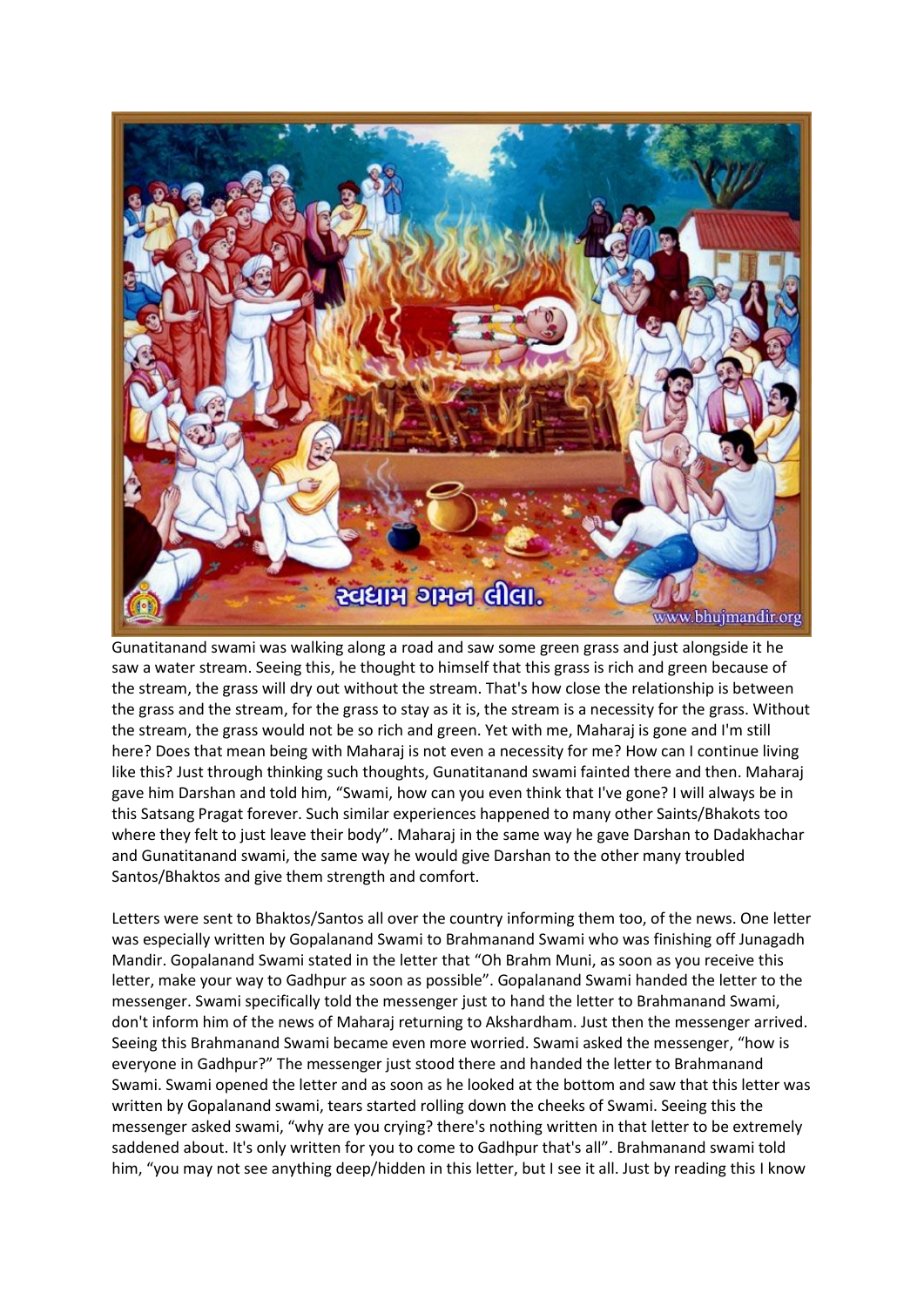

Gunatitanand swami was walking along a road and saw some green grass and just alongside it he saw a water stream. Seeing this, he thought to himself that this grass is rich and green because of the stream, the grass will dry out without the stream. That's how close the relationship is between the grass and the stream, for the grass to stay as it is, the stream is a necessity for the grass. Without the stream, the grass would not be so rich and green. Yet with me, Maharaj is gone and I'm still here? Does that mean being with Maharaj is not even a necessity for me? How can I continue living like this? Just through thinking such thoughts, Gunatitanand swami fainted there and then. Maharaj gave him Darshan and told him, "Swami, how can you even think that I've gone? I will always be in this Satsang Pragat forever. Such similar experiences happened to many other Saints/Bhakots too where they felt to just leave their body". Maharaj in the same way he gave Darshan to Dadakhachar and Gunatitanand swami, the same way he would give Darshan to the other many troubled Santos/Bhaktos and give them strength and comfort.

Letters were sent to Bhaktos/Santos all over the country informing them too, of the news. One letter was especially written by Gopalanand Swami to Brahmanand Swami who was finishing off Junagadh Mandir. Gopalanand Swami stated in the letter that "Oh Brahm Muni, as soon as you receive this letter, make your way to Gadhpur as soon as possible". Gopalanand Swami handed the letter to the messenger. Swami specifically told the messenger just to hand the letter to Brahmanand Swami, don't inform him of the news of Maharaj returning to Akshardham. Just then the messenger arrived. Seeing this Brahmanand Swami became even more worried. Swami asked the messenger, "how is everyone in Gadhpur?" The messenger just stood there and handed the letter to Brahmanand Swami. Swami opened the letter and as soon as he looked at the bottom and saw that this letter was written by Gopalanand swami, tears started rolling down the cheeks of Swami. Seeing this the messenger asked swami, "why are you crying? there's nothing written in that letter to be extremely saddened about. It's only written for you to come to Gadhpur that's all". Brahmanand swami told him, "you may not see anything deep/hidden in this letter, but I see it all. Just by reading this I know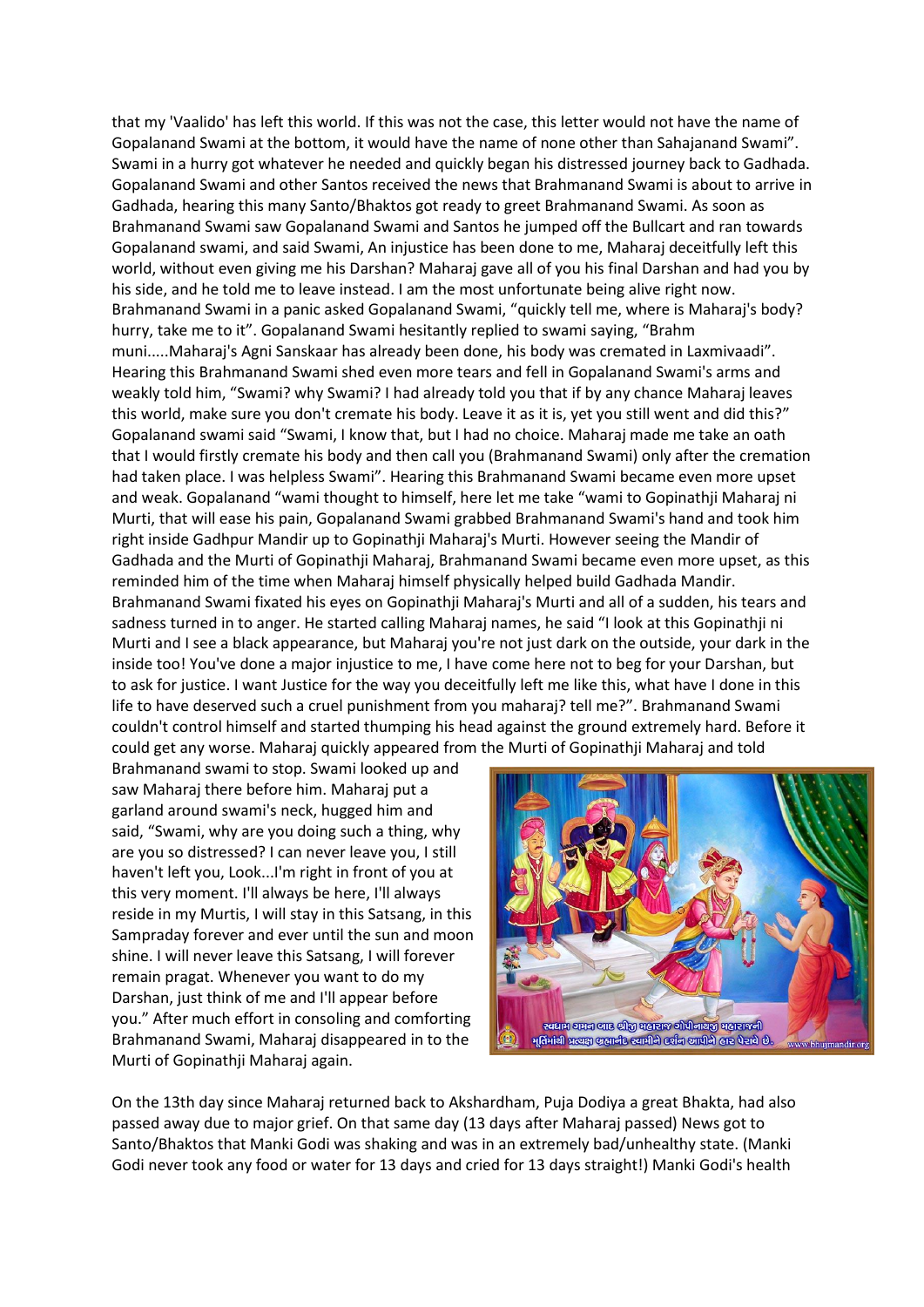that my 'Vaalido' has left this world. If this was not the case, this letter would not have the name of Gopalanand Swami at the bottom, it would have the name of none other than Sahajanand Swami". Swami in a hurry got whatever he needed and quickly began his distressed journey back to Gadhada. Gopalanand Swami and other Santos received the news that Brahmanand Swami is about to arrive in Gadhada, hearing this many Santo/Bhaktos got ready to greet Brahmanand Swami. As soon as Brahmanand Swami saw Gopalanand Swami and Santos he jumped off the Bullcart and ran towards Gopalanand swami, and said Swami, An injustice has been done to me, Maharaj deceitfully left this world, without even giving me his Darshan? Maharaj gave all of you his final Darshan and had you by his side, and he told me to leave instead. I am the most unfortunate being alive right now. Brahmanand Swami in a panic asked Gopalanand Swami, "quickly tell me, where is Maharaj's body? hurry, take me to it". Gopalanand Swami hesitantly replied to swami saying, "Brahm muni.....Maharaj's Agni Sanskaar has already been done, his body was cremated in Laxmivaadi". Hearing this Brahmanand Swami shed even more tears and fell in Gopalanand Swami's arms and weakly told him, "Swami? why Swami? I had already told you that if by any chance Maharaj leaves this world, make sure you don't cremate his body. Leave it as it is, yet you still went and did this?" Gopalanand swami said "Swami, I know that, but I had no choice. Maharaj made me take an oath that I would firstly cremate his body and then call you (Brahmanand Swami) only after the cremation had taken place. I was helpless Swami". Hearing this Brahmanand Swami became even more upset and weak. Gopalanand "wami thought to himself, here let me take "wami to Gopinathji Maharaj ni Murti, that will ease his pain, Gopalanand Swami grabbed Brahmanand Swami's hand and took him right inside Gadhpur Mandir up to Gopinathji Maharaj's Murti. However seeing the Mandir of Gadhada and the Murti of Gopinathji Maharaj, Brahmanand Swami became even more upset, as this reminded him of the time when Maharaj himself physically helped build Gadhada Mandir. Brahmanand Swami fixated his eyes on Gopinathji Maharaj's Murti and all of a sudden, his tears and sadness turned in to anger. He started calling Maharaj names, he said "I look at this Gopinathji ni Murti and I see a black appearance, but Maharaj you're not just dark on the outside, your dark in the inside too! You've done a major injustice to me, I have come here not to beg for your Darshan, but to ask for justice. I want Justice for the way you deceitfully left me like this, what have I done in this life to have deserved such a cruel punishment from you maharaj? tell me?". Brahmanand Swami couldn't control himself and started thumping his head against the ground extremely hard. Before it could get any worse. Maharaj quickly appeared from the Murti of Gopinathji Maharaj and told

Brahmanand swami to stop. Swami looked up and saw Maharaj there before him. Maharaj put a garland around swami's neck, hugged him and said, "Swami, why are you doing such a thing, why are you so distressed? I can never leave you, I still haven't left you, Look...I'm right in front of you at this very moment. I'll always be here, I'll always reside in my Murtis, I will stay in this Satsang, in this Sampraday forever and ever until the sun and moon shine. I will never leave this Satsang, I will forever remain pragat. Whenever you want to do my Darshan, just think of me and I'll appear before you." After much effort in consoling and comforting Brahmanand Swami, Maharaj disappeared in to the Murti of Gopinathji Maharaj again.



On the 13th day since Maharaj returned back to Akshardham, Puja Dodiya a great Bhakta, had also passed away due to major grief. On that same day (13 days after Maharaj passed) News got to Santo/Bhaktos that Manki Godi was shaking and was in an extremely bad/unhealthy state. (Manki Godi never took any food or water for 13 days and cried for 13 days straight!) Manki Godi's health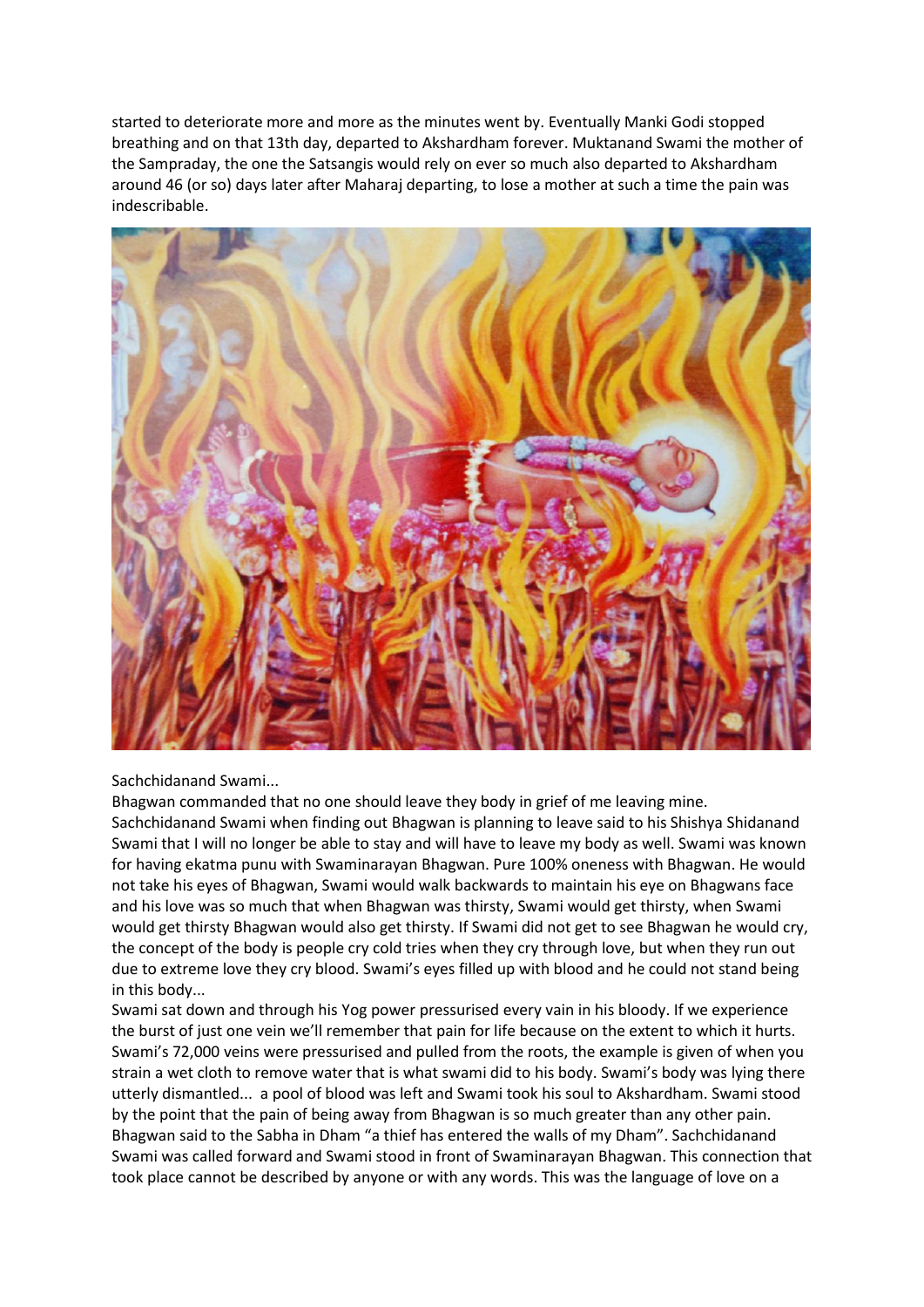started to deteriorate more and more as the minutes went by. Eventually Manki Godi stopped breathing and on that 13th day, departed to Akshardham forever. Muktanand Swami the mother of the Sampraday, the one the Satsangis would rely on ever so much also departed to Akshardham around 46 (or so) days later after Maharaj departing, to lose a mother at such a time the pain was indescribable.



Sachchidanand Swami...

Bhagwan commanded that no one should leave they body in grief of me leaving mine. Sachchidanand Swami when finding out Bhagwan is planning to leave said to his Shishya Shidanand Swami that I will no longer be able to stay and will have to leave my body as well. Swami was known for having ekatma punu with Swaminarayan Bhagwan. Pure 100% oneness with Bhagwan. He would not take his eyes of Bhagwan, Swami would walk backwards to maintain his eye on Bhagwans face and his love was so much that when Bhagwan was thirsty, Swami would get thirsty, when Swami would get thirsty Bhagwan would also get thirsty. If Swami did not get to see Bhagwan he would cry, the concept of the body is people cry cold tries when they cry through love, but when they run out due to extreme love they cry blood. Swami's eyes filled up with blood and he could not stand being in this body...

Swami sat down and through his Yog power pressurised every vain in his bloody. If we experience the burst of just one vein we'll remember that pain for life because on the extent to which it hurts. Swami's 72,000 veins were pressurised and pulled from the roots, the example is given of when you strain a wet cloth to remove water that is what swami did to his body. Swami's body was lying there utterly dismantled... a pool of blood was left and Swami took his soul to Akshardham. Swami stood by the point that the pain of being away from Bhagwan is so much greater than any other pain. Bhagwan said to the Sabha in Dham "a thief has entered the walls of my Dham". Sachchidanand Swami was called forward and Swami stood in front of Swaminarayan Bhagwan. This connection that took place cannot be described by anyone or with any words. This was the language of love on a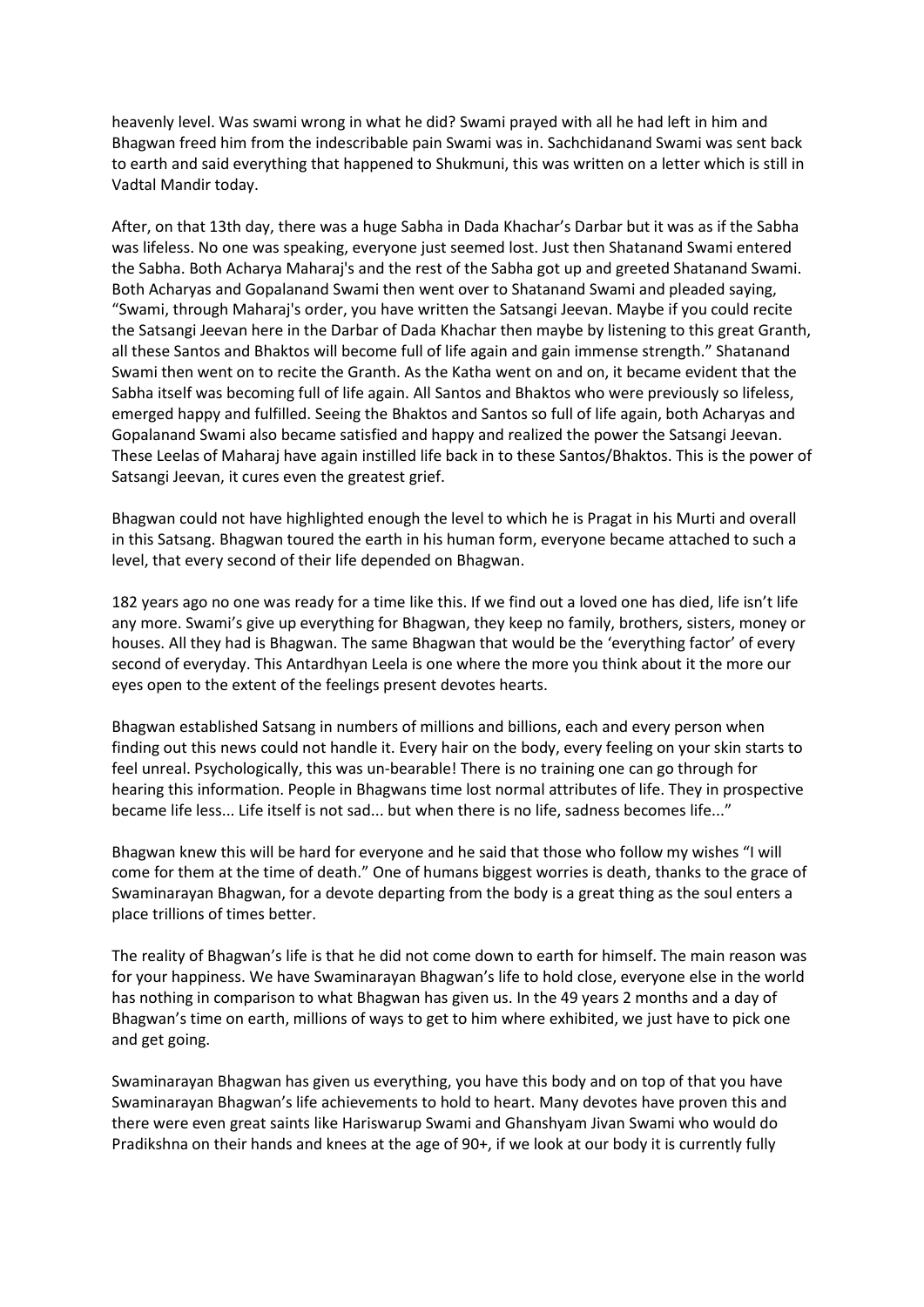heavenly level. Was swami wrong in what he did? Swami prayed with all he had left in him and Bhagwan freed him from the indescribable pain Swami was in. Sachchidanand Swami was sent back to earth and said everything that happened to Shukmuni, this was written on a letter which is still in Vadtal Mandir today.

After, on that 13th day, there was a huge Sabha in Dada Khachar's Darbar but it was as if the Sabha was lifeless. No one was speaking, everyone just seemed lost. Just then Shatanand Swami entered the Sabha. Both Acharya Maharaj's and the rest of the Sabha got up and greeted Shatanand Swami. Both Acharyas and Gopalanand Swami then went over to Shatanand Swami and pleaded saying, "Swami, through Maharaj's order, you have written the Satsangi Jeevan. Maybe if you could recite the Satsangi Jeevan here in the Darbar of Dada Khachar then maybe by listening to this great Granth, all these Santos and Bhaktos will become full of life again and gain immense strength." Shatanand Swami then went on to recite the Granth. As the Katha went on and on, it became evident that the Sabha itself was becoming full of life again. All Santos and Bhaktos who were previously so lifeless, emerged happy and fulfilled. Seeing the Bhaktos and Santos so full of life again, both Acharyas and Gopalanand Swami also became satisfied and happy and realized the power the Satsangi Jeevan. These Leelas of Maharaj have again instilled life back in to these Santos/Bhaktos. This is the power of Satsangi Jeevan, it cures even the greatest grief.

Bhagwan could not have highlighted enough the level to which he is Pragat in his Murti and overall in this Satsang. Bhagwan toured the earth in his human form, everyone became attached to such a level, that every second of their life depended on Bhagwan.

182 years ago no one was ready for a time like this. If we find out a loved one has died, life isn't life any more. Swami's give up everything for Bhagwan, they keep no family, brothers, sisters, money or houses. All they had is Bhagwan. The same Bhagwan that would be the 'everything factor' of every second of everyday. This Antardhyan Leela is one where the more you think about it the more our eyes open to the extent of the feelings present devotes hearts.

Bhagwan established Satsang in numbers of millions and billions, each and every person when finding out this news could not handle it. Every hair on the body, every feeling on your skin starts to feel unreal. Psychologically, this was un-bearable! There is no training one can go through for hearing this information. People in Bhagwans time lost normal attributes of life. They in prospective became life less... Life itself is not sad... but when there is no life, sadness becomes life..."

Bhagwan knew this will be hard for everyone and he said that those who follow my wishes "I will come for them at the time of death." One of humans biggest worries is death, thanks to the grace of Swaminarayan Bhagwan, for a devote departing from the body is a great thing as the soul enters a place trillions of times better.

The reality of Bhagwan's life is that he did not come down to earth for himself. The main reason was for your happiness. We have Swaminarayan Bhagwan's life to hold close, everyone else in the world has nothing in comparison to what Bhagwan has given us. In the 49 years 2 months and a day of Bhagwan's time on earth, millions of ways to get to him where exhibited, we just have to pick one and get going.

Swaminarayan Bhagwan has given us everything, you have this body and on top of that you have Swaminarayan Bhagwan's life achievements to hold to heart. Many devotes have proven this and there were even great saints like Hariswarup Swami and Ghanshyam Jivan Swami who would do Pradikshna on their hands and knees at the age of 90+, if we look at our body it is currently fully